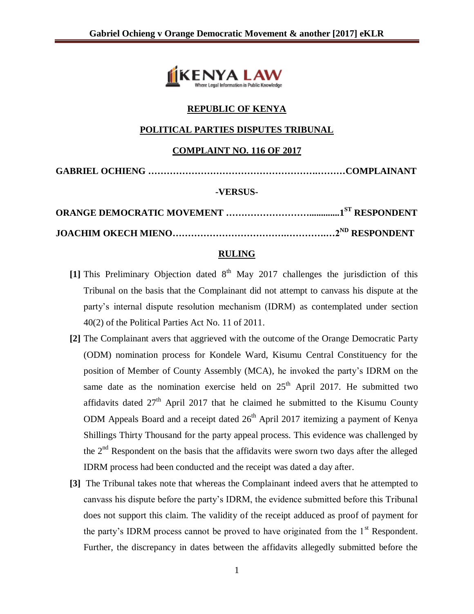

## **REPUBLIC OF KENYA**

### **POLITICAL PARTIES DISPUTES TRIBUNAL**

#### **COMPLAINT NO. 116 OF 2017**

**GABRIEL OCHIENG ……………………………………………….………COMPLAINANT**

#### **-VERSUS-**

#### **RULING**

- [1] This Preliminary Objection dated  $8<sup>th</sup>$  May 2017 challenges the jurisdiction of this Tribunal on the basis that the Complainant did not attempt to canvass his dispute at the party's internal dispute resolution mechanism (IDRM) as contemplated under section 40(2) of the Political Parties Act No. 11 of 2011.
- **[2]** The Complainant avers that aggrieved with the outcome of the Orange Democratic Party (ODM) nomination process for Kondele Ward, Kisumu Central Constituency for the position of Member of County Assembly (MCA), he invoked the party's IDRM on the same date as the nomination exercise held on  $25<sup>th</sup>$  April 2017. He submitted two affidavits dated  $27<sup>th</sup>$  April 2017 that he claimed he submitted to the Kisumu County ODM Appeals Board and a receipt dated  $26<sup>th</sup>$  April 2017 itemizing a payment of Kenya Shillings Thirty Thousand for the party appeal process. This evidence was challenged by the  $2<sup>nd</sup>$  Respondent on the basis that the affidavits were sworn two days after the alleged IDRM process had been conducted and the receipt was dated a day after.
- **[3]** The Tribunal takes note that whereas the Complainant indeed avers that he attempted to canvass his dispute before the party's IDRM, the evidence submitted before this Tribunal does not support this claim. The validity of the receipt adduced as proof of payment for the party's IDRM process cannot be proved to have originated from the  $1<sup>st</sup>$  Respondent. Further, the discrepancy in dates between the affidavits allegedly submitted before the